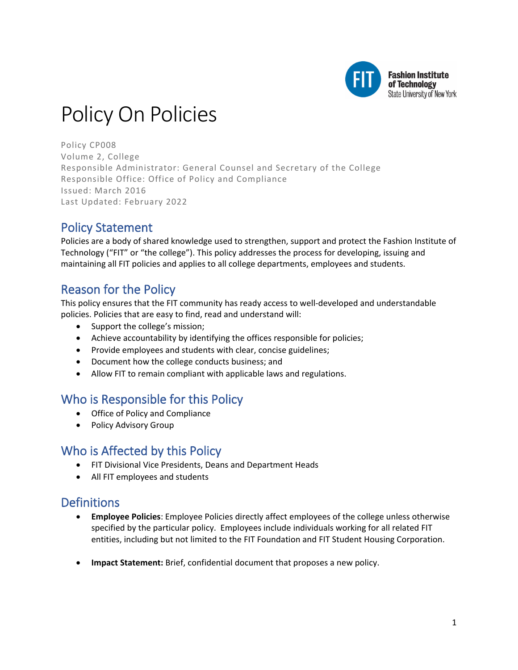

# Policy On Policies

Policy CP008 Volume 2, College Responsible Administrator: General Counsel and Secretary of the College Responsible Office: Office of Policy and Compliance Issued: March 2016 Last Updated: February 2022

## Policy Statement

Policies are a body of shared knowledge used to strengthen, support and protect the Fashion Institute of Technology ("FIT" or "the college"). This policy addresses the process for developing, issuing and maintaining all FIT policies and applies to all college departments, employees and students.

### Reason for the Policy

This policy ensures that the FIT community has ready access to well-developed and understandable policies. Policies that are easy to find, read and understand will:

- Support the college's mission;
- Achieve accountability by identifying the offices responsible for policies;
- Provide employees and students with clear, concise guidelines;
- Document how the college conducts business; and
- Allow FIT to remain compliant with applicable laws and regulations.

### Who is Responsible for this Policy

- Office of Policy and Compliance
- Policy Advisory Group

### Who is Affected by this Policy

- FIT Divisional Vice Presidents, Deans and Department Heads
- All FIT employees and students

### **Definitions**

- **Employee Policies**: Employee Policies directly affect employees of the college unless otherwise specified by the particular policy. Employees include individuals working for all related FIT entities, including but not limited to the FIT Foundation and FIT Student Housing Corporation.
- **Impact Statement:** Brief, confidential document that proposes a new policy.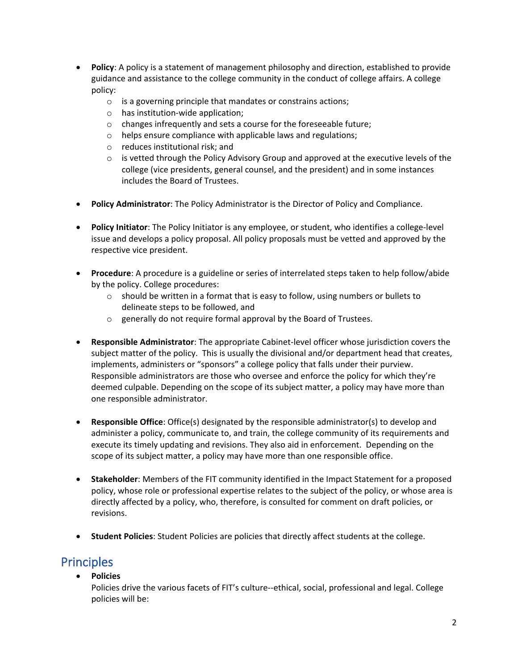- **Policy**: A policy is a statement of management philosophy and direction, established to provide guidance and assistance to the college community in the conduct of college affairs. A college policy:
	- o is a governing principle that mandates or constrains actions;
	- o has institution-wide application;
	- o changes infrequently and sets a course for the foreseeable future;
	- o helps ensure compliance with applicable laws and regulations;
	- o reduces institutional risk; and
	- $\circ$  is vetted through the Policy Advisory Group and approved at the executive levels of the college (vice presidents, general counsel, and the president) and in some instances includes the Board of Trustees.
- **Policy Administrator**: The Policy Administrator is the Director of Policy and Compliance.
- **Policy Initiator**: The Policy Initiator is any employee, or student, who identifies a college-level issue and develops a policy proposal. All policy proposals must be vetted and approved by the respective vice president.
- **Procedure**: A procedure is a guideline or series of interrelated steps taken to help follow/abide by the policy. College procedures:
	- $\circ$  should be written in a format that is easy to follow, using numbers or bullets to delineate steps to be followed, and
	- o generally do not require formal approval by the Board of Trustees.
- **Responsible Administrator**: The appropriate Cabinet-level officer whose jurisdiction covers the subject matter of the policy. This is usually the divisional and/or department head that creates, implements, administers or "sponsors" a college policy that falls under their purview. Responsible administrators are those who oversee and enforce the policy for which they're deemed culpable. Depending on the scope of its subject matter, a policy may have more than one responsible administrator.
- **Responsible Office**: Office(s) designated by the responsible administrator(s) to develop and administer a policy, communicate to, and train, the college community of its requirements and execute its timely updating and revisions. They also aid in enforcement. Depending on the scope of its subject matter, a policy may have more than one responsible office.
- **Stakeholder**: Members of the FIT community identified in the Impact Statement for a proposed policy, whose role or professional expertise relates to the subject of the policy, or whose area is directly affected by a policy, who, therefore, is consulted for comment on draft policies, or revisions.
- **Student Policies**: Student Policies are policies that directly affect students at the college.

### Principles

• **Policies** 

Policies drive the various facets of FIT's culture--ethical, social, professional and legal. College policies will be: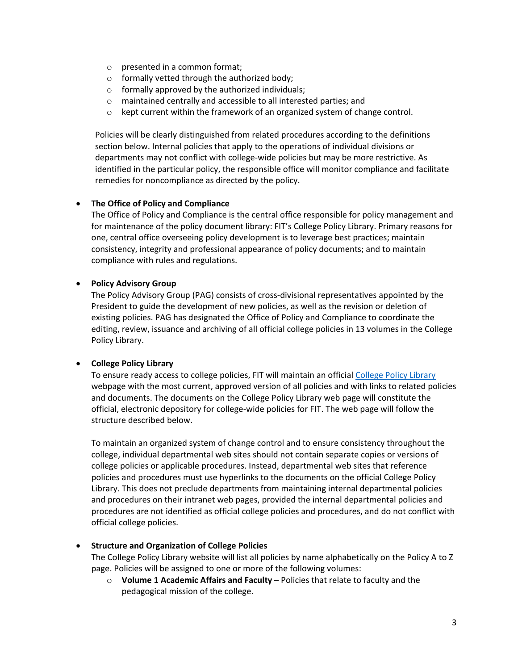- o presented in a common format;
- o formally vetted through the authorized body;
- $\circ$  formally approved by the authorized individuals;
- o maintained centrally and accessible to all interested parties; and
- o kept current within the framework of an organized system of change control.

Policies will be clearly distinguished from related procedures according to the definitions section below. Internal policies that apply to the operations of individual divisions or departments may not conflict with college-wide policies but may be more restrictive. As identified in the particular policy, the responsible office will monitor compliance and facilitate remedies for noncompliance as directed by the policy.

#### • **The Office of Policy and Compliance**

The Office of Policy and Compliance is the central office responsible for policy management and for maintenance of the policy document library: FIT's College Policy Library. Primary reasons for one, central office overseeing policy development is to leverage best practices; maintain consistency, integrity and professional appearance of policy documents; and to maintain compliance with rules and regulations.

#### • **Policy Advisory Group**

The Policy Advisory Group (PAG) consists of cross-divisional representatives appointed by the President to guide the development of new policies, as well as the revision or deletion of existing policies. PAG has designated the Office of Policy and Compliance to coordinate the editing, review, issuance and archiving of all official college policies in 13 volumes in the College Policy Library.

#### • **College Policy Library**

To ensure ready access to college policies, FIT will maintain an official [College Policy Library](http://www.fitnyc.edu/policylibrary) webpage with the most current, approved version of all policies and with links to related policies and documents. The documents on the College Policy Library web page will constitute the official, electronic depository for college-wide policies for FIT. The web page will follow the structure described below.

To maintain an organized system of change control and to ensure consistency throughout the college, individual departmental web sites should not contain separate copies or versions of college policies or applicable procedures. Instead, departmental web sites that reference policies and procedures must use hyperlinks to the documents on the official College Policy Library. This does not preclude departments from maintaining internal departmental policies and procedures on their intranet web pages, provided the internal departmental policies and procedures are not identified as official college policies and procedures, and do not conflict with official college policies.

#### • **Structure and Organization of College Policies**

The College Policy Library website will list all policies by name alphabetically on the Policy A to Z page. Policies will be assigned to one or more of the following volumes:

o **Volume 1 Academic Affairs and Faculty** – Policies that relate to faculty and the pedagogical mission of the college.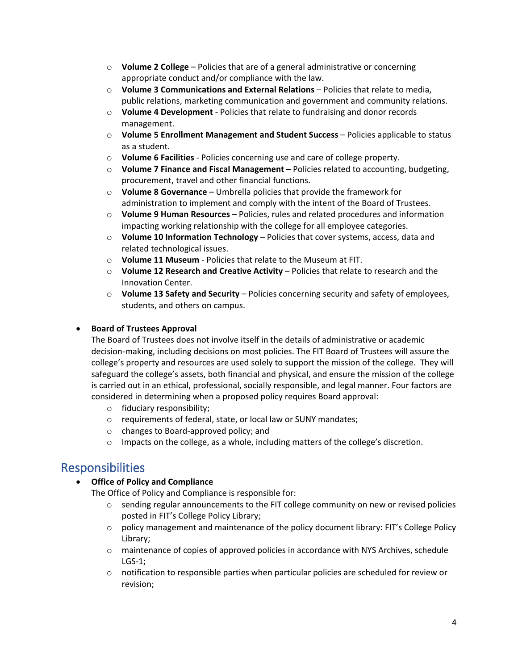- o **Volume 2 College** Policies that are of a general administrative or concerning appropriate conduct and/or compliance with the law.
- o **Volume 3 Communications and External Relations** Policies that relate to media, public relations, marketing communication and government and community relations.
- o **Volume 4 Development** Policies that relate to fundraising and donor records management.
- o **Volume 5 Enrollment Management and Student Success** Policies applicable to status as a student.
- o **Volume 6 Facilities** Policies concerning use and care of college property.
- o **Volume 7 Finance and Fiscal Management** Policies related to accounting, budgeting, procurement, travel and other financial functions.
- o **Volume 8 Governance** Umbrella policies that provide the framework for administration to implement and comply with the intent of the Board of Trustees.
- o **Volume 9 Human Resources** Policies, rules and related procedures and information impacting working relationship with the college for all employee categories.
- o **Volume 10 Information Technology** Policies that cover systems, access, data and related technological issues.
- o **Volume 11 Museum** Policies that relate to the Museum at FIT.
- o **Volume 12 Research and Creative Activity** Policies that relate to research and the Innovation Center.
- o **Volume 13 Safety and Security** Policies concerning security and safety of employees, students, and others on campus.

### • **Board of Trustees Approval**

The Board of Trustees does not involve itself in the details of administrative or academic decision-making, including decisions on most policies. The FIT Board of Trustees will assure the college's property and resources are used solely to support the mission of the college. They will safeguard the college's assets, both financial and physical, and ensure the mission of the college is carried out in an ethical, professional, socially responsible, and legal manner. Four factors are considered in determining when a proposed policy requires Board approval:

- o fiduciary responsibility;
- o requirements of federal, state, or local law or SUNY mandates;
- o changes to Board-approved policy; and
- o Impacts on the college, as a whole, including matters of the college's discretion.

### Responsibilities

### • **Office of Policy and Compliance**

The Office of Policy and Compliance is responsible for:

- $\circ$  sending regular announcements to the FIT college community on new or revised policies posted in FIT's College Policy Library;
- o policy management and maintenance of the policy document library: FIT's College Policy Library;
- o maintenance of copies of approved policies in accordance with NYS Archives, schedule LGS-1;
- o notification to responsible parties when particular policies are scheduled for review or revision;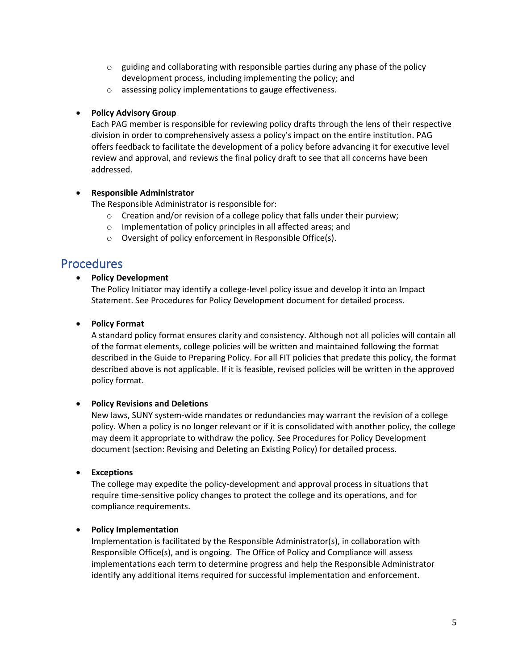- $\circ$  guiding and collaborating with responsible parties during any phase of the policy development process, including implementing the policy; and
- o assessing policy implementations to gauge effectiveness.

#### • **Policy Advisory Group**

Each PAG member is responsible for reviewing policy drafts through the lens of their respective division in order to comprehensively assess a policy's impact on the entire institution. PAG offers feedback to facilitate the development of a policy before advancing it for executive level review and approval, and reviews the final policy draft to see that all concerns have been addressed.

#### • **Responsible Administrator**

The Responsible Administrator is responsible for:

- o Creation and/or revision of a college policy that falls under their purview;
- o Implementation of policy principles in all affected areas; and
- o Oversight of policy enforcement in Responsible Office(s).

### **Procedures**

#### • **Policy Development**

The Policy Initiator may identify a college-level policy issue and develop it into an Impact Statement. See Procedures for Policy Development document for detailed process.

#### • **Policy Format**

A standard policy format ensures clarity and consistency. Although not all policies will contain all of the format elements, college policies will be written and maintained following the format described in the Guide to Preparing Policy. For all FIT policies that predate this policy, the format described above is not applicable. If it is feasible, revised policies will be written in the approved policy format.

#### • **Policy Revisions and Deletions**

New laws, SUNY system-wide mandates or redundancies may warrant the revision of a college policy. When a policy is no longer relevant or if it is consolidated with another policy, the college may deem it appropriate to withdraw the policy. See Procedures for Policy Development document (section: Revising and Deleting an Existing Policy) for detailed process.

### • **Exceptions**

The college may expedite the policy-development and approval process in situations that require time-sensitive policy changes to protect the college and its operations, and for compliance requirements.

### • **Policy Implementation**

Implementation is facilitated by the Responsible Administrator(s), in collaboration with Responsible Office(s), and is ongoing. The Office of Policy and Compliance will assess implementations each term to determine progress and help the Responsible Administrator identify any additional items required for successful implementation and enforcement.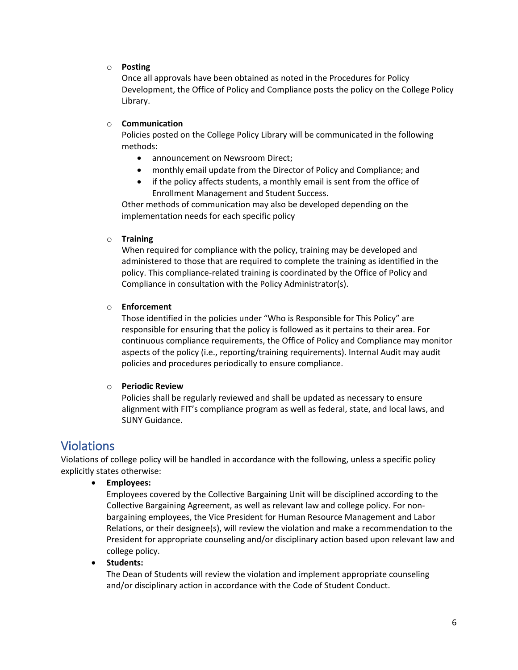#### o **Posting**

Once all approvals have been obtained as noted in the Procedures for Policy Development, the Office of Policy and Compliance posts the policy on the College Policy Library.

#### o **Communication**

Policies posted on the College Policy Library will be communicated in the following methods:

- announcement on Newsroom Direct;
- monthly email update from the Director of Policy and Compliance; and
- if the policy affects students, a monthly email is sent from the office of Enrollment Management and Student Success.

Other methods of communication may also be developed depending on the implementation needs for each specific policy

#### o **Training**

When required for compliance with the policy, training may be developed and administered to those that are required to complete the training as identified in the policy. This compliance-related training is coordinated by the Office of Policy and Compliance in consultation with the Policy Administrator(s).

#### o **Enforcement**

Those identified in the policies under "Who is Responsible for This Policy" are responsible for ensuring that the policy is followed as it pertains to their area. For continuous compliance requirements, the Office of Policy and Compliance may monitor aspects of the policy (i.e., reporting/training requirements). Internal Audit may audit policies and procedures periodically to ensure compliance.

#### o **Periodic Review**

Policies shall be regularly reviewed and shall be updated as necessary to ensure alignment with FIT's compliance program as well as federal, state, and local laws, and SUNY Guidance.

### Violations

Violations of college policy will be handled in accordance with the following, unless a specific policy explicitly states otherwise:

• **Employees:**

Employees covered by the Collective Bargaining Unit will be disciplined according to the Collective Bargaining Agreement, as well as relevant law and college policy. For nonbargaining employees, the Vice President for Human Resource Management and Labor Relations, or their designee(s), will review the violation and make a recommendation to the President for appropriate counseling and/or disciplinary action based upon relevant law and college policy.

#### • **Students:**

The Dean of Students will review the violation and implement appropriate counseling and/or disciplinary action in accordance with the Code of Student Conduct.